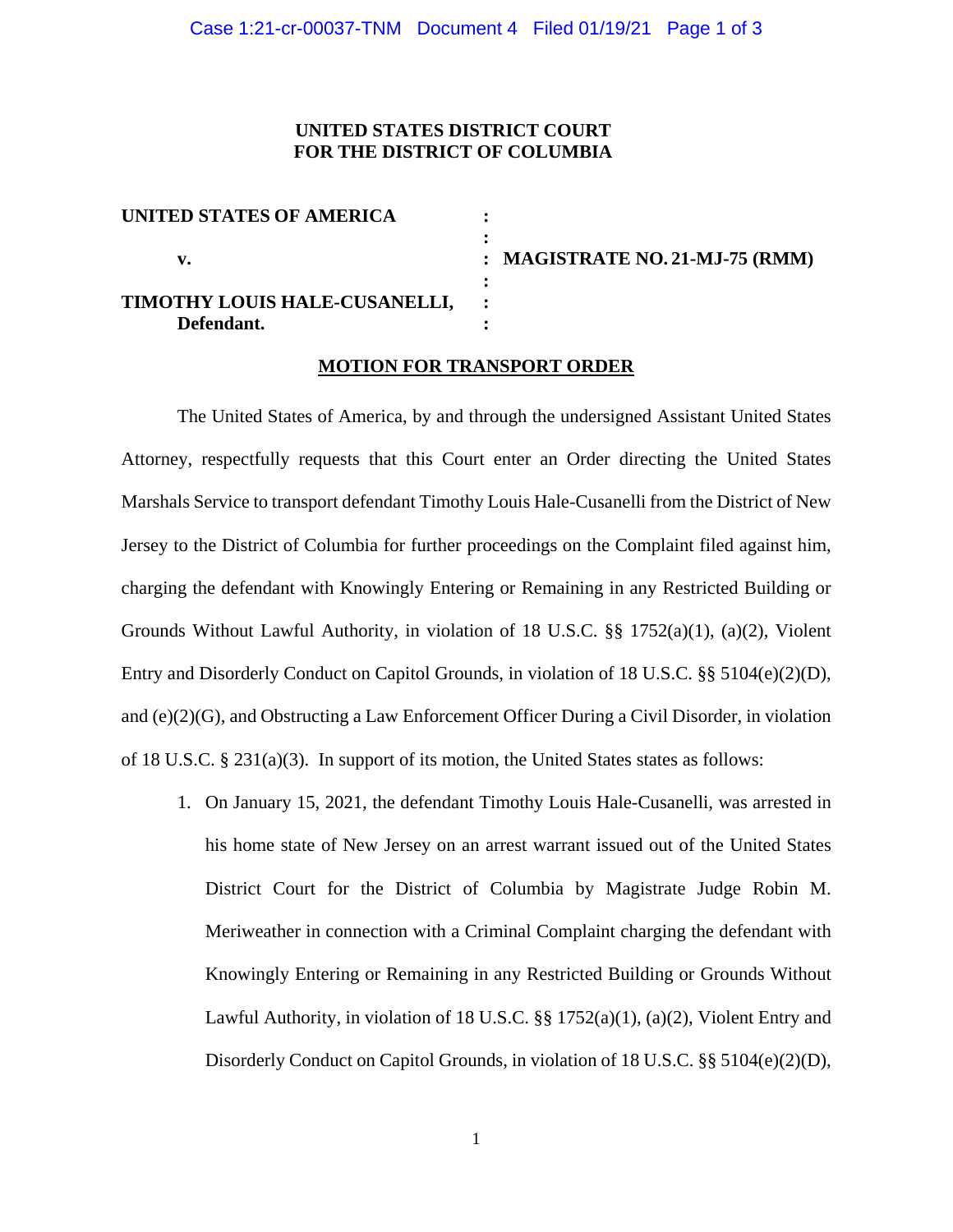### **UNITED STATES DISTRICT COURT FOR THE DISTRICT OF COLUMBIA**

| UNITED STATES OF AMERICA      |                                   |
|-------------------------------|-----------------------------------|
|                               |                                   |
| v.                            | : MAGISTRATE NO. 21-MJ-75 $(RMM)$ |
|                               |                                   |
| TIMOTHY LOUIS HALE-CUSANELLI, |                                   |
| Defendant.                    |                                   |

### **MOTION FOR TRANSPORT ORDER**

The United States of America, by and through the undersigned Assistant United States Attorney, respectfully requests that this Court enter an Order directing the United States Marshals Service to transport defendant Timothy Louis Hale-Cusanelli from the District of New Jersey to the District of Columbia for further proceedings on the Complaint filed against him, charging the defendant with Knowingly Entering or Remaining in any Restricted Building or Grounds Without Lawful Authority, in violation of 18 U.S.C.  $\S$  1752(a)(1), (a)(2), Violent Entry and Disorderly Conduct on Capitol Grounds, in violation of 18 U.S.C. §§ 5104(e)(2)(D), and (e)(2)(G), and Obstructing a Law Enforcement Officer During a Civil Disorder, in violation of 18 U.S.C. § 231(a)(3). In support of its motion, the United States states as follows:

1. On January 15, 2021, the defendant Timothy Louis Hale-Cusanelli, was arrested in his home state of New Jersey on an arrest warrant issued out of the United States District Court for the District of Columbia by Magistrate Judge Robin M. Meriweather in connection with a Criminal Complaint charging the defendant with Knowingly Entering or Remaining in any Restricted Building or Grounds Without Lawful Authority, in violation of 18 U.S.C. §§ 1752(a)(1), (a)(2), Violent Entry and Disorderly Conduct on Capitol Grounds, in violation of 18 U.S.C. §§ 5104(e)(2)(D),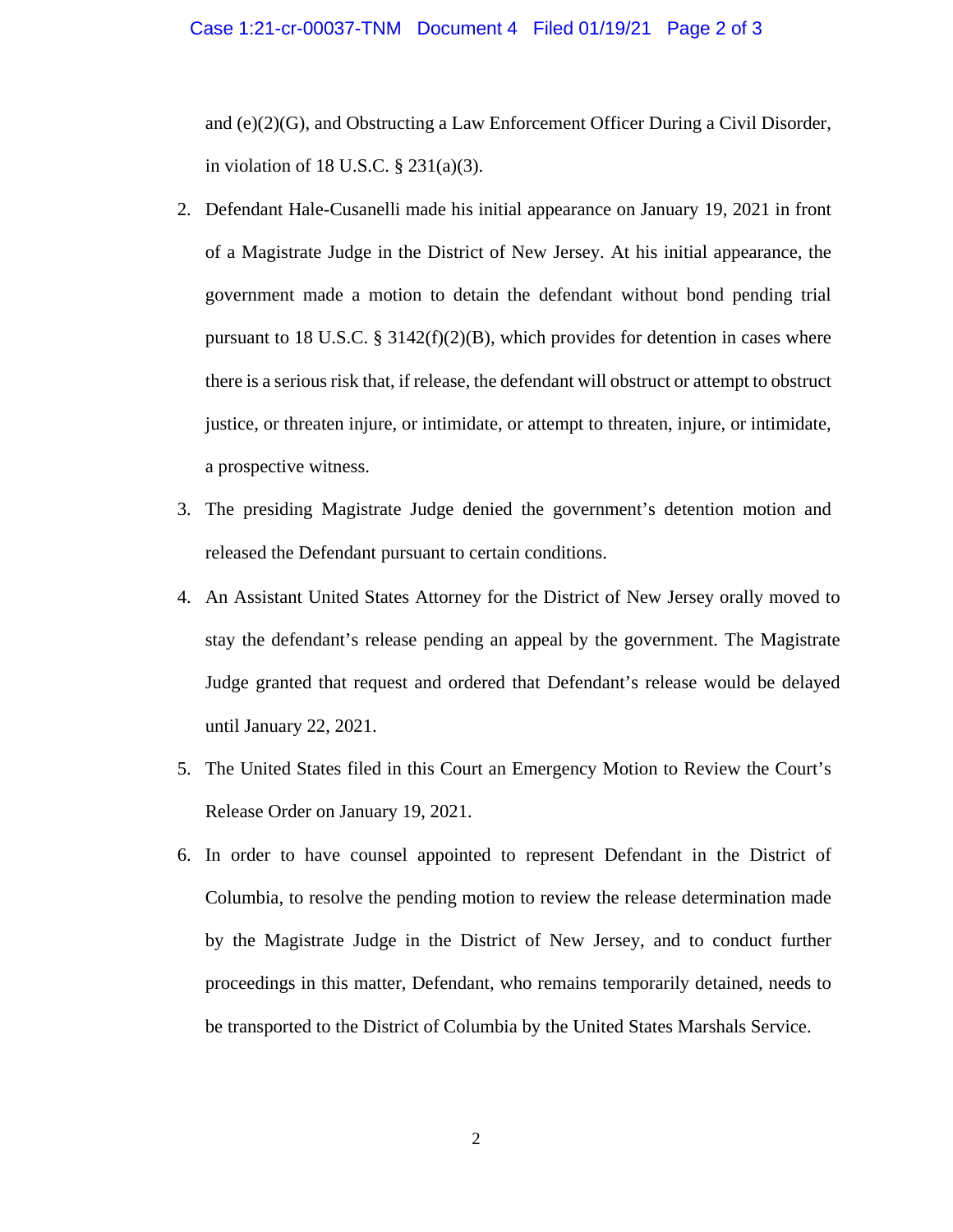#### Case 1:21-cr-00037-TNM Document 4 Filed 01/19/21 Page 2 of 3

and (e)(2)(G), and Obstructing a Law Enforcement Officer During a Civil Disorder, in violation of 18 U.S.C. § 231(a)(3).

- 2. Defendant Hale-Cusanelli made his initial appearance on January 19, 2021 in front of a Magistrate Judge in the District of New Jersey. At his initial appearance, the government made a motion to detain the defendant without bond pending trial pursuant to 18 U.S.C.  $\S$  3142(f)(2)(B), which provides for detention in cases where there is a serious risk that, if release, the defendant will obstruct or attempt to obstruct justice, or threaten injure, or intimidate, or attempt to threaten, injure, or intimidate, a prospective witness.
- 3. The presiding Magistrate Judge denied the government's detention motion and released the Defendant pursuant to certain conditions.
- 4. An Assistant United States Attorney for the District of New Jersey orally moved to stay the defendant's release pending an appeal by the government. The Magistrate Judge granted that request and ordered that Defendant's release would be delayed until January 22, 2021.
- 5. The United States filed in this Court an Emergency Motion to Review the Court's Release Order on January 19, 2021.
- 6. In order to have counsel appointed to represent Defendant in the District of Columbia, to resolve the pending motion to review the release determination made by the Magistrate Judge in the District of New Jersey, and to conduct further proceedings in this matter, Defendant, who remains temporarily detained, needs to be transported to the District of Columbia by the United States Marshals Service.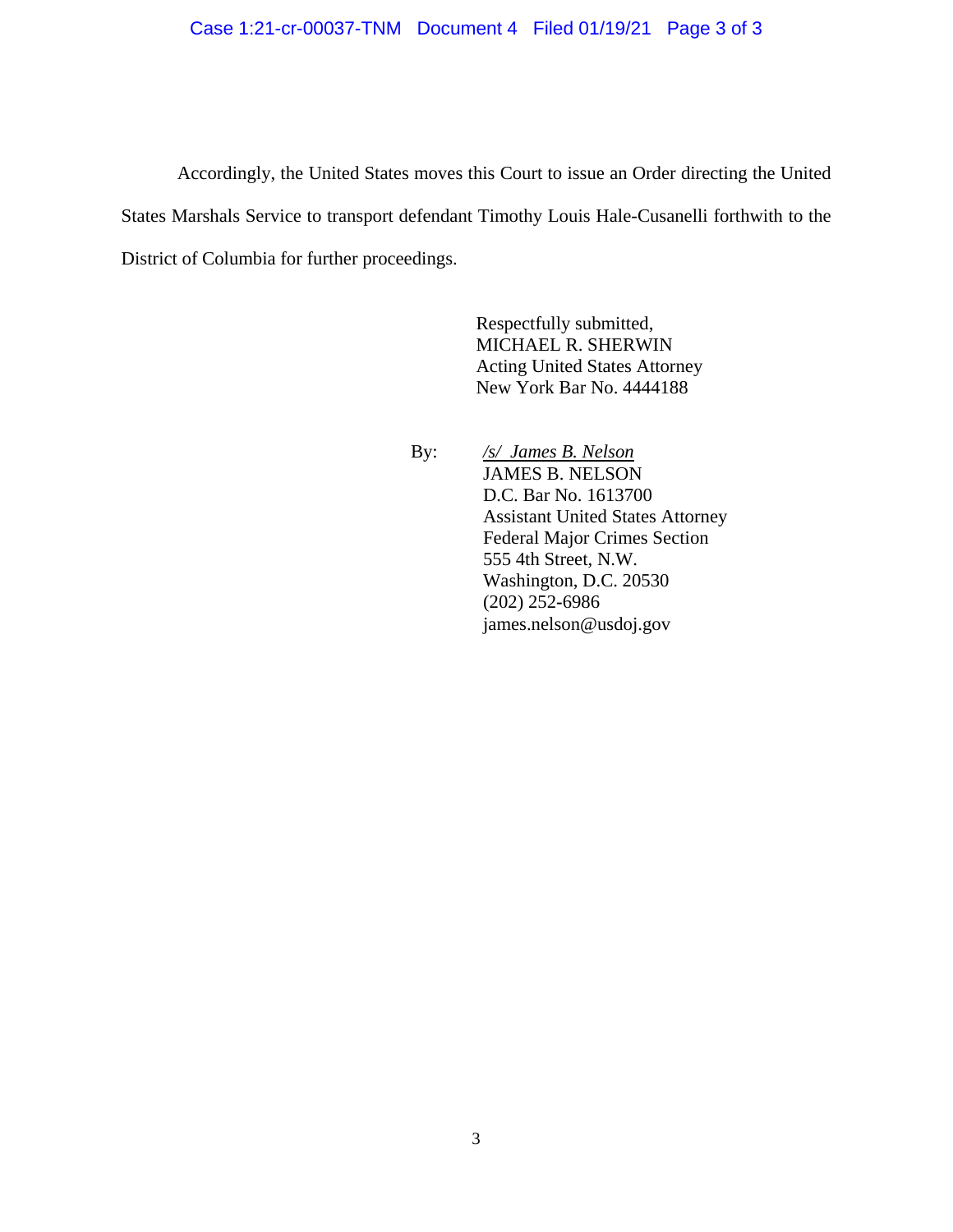### Case 1:21-cr-00037-TNM Document 4 Filed 01/19/21 Page 3 of 3

Accordingly, the United States moves this Court to issue an Order directing the United States Marshals Service to transport defendant Timothy Louis Hale-Cusanelli forthwith to the District of Columbia for further proceedings.

> Respectfully submitted, MICHAEL R. SHERWIN Acting United States Attorney New York Bar No. 4444188

 By: */s/ James B. Nelson* JAMES B. NELSON D.C. Bar No. 1613700 Assistant United States Attorney Federal Major Crimes Section 555 4th Street, N.W. Washington, D.C. 20530 (202) 252**-**6986 james.nelson@usdoj.gov